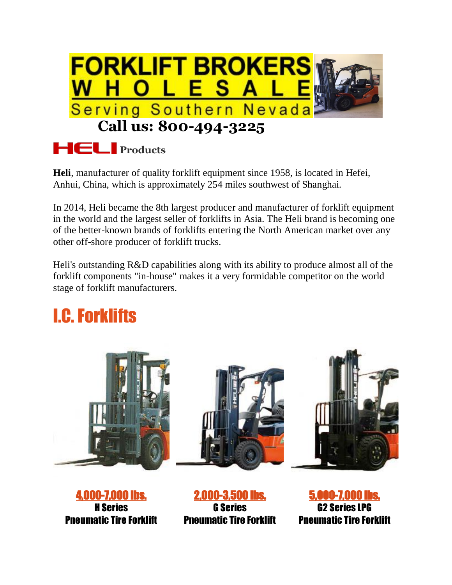

## **Products**

**Heli**, manufacturer of quality forklift equipment since 1958, is located in Hefei, Anhui, China, which is approximately 254 miles southwest of Shanghai.

In 2014, Heli became the 8th largest producer and manufacturer of forklift equipment in the world and the largest seller of forklifts in Asia. The Heli brand is becoming one of the better-known brands of forklifts entering the North American market over any other off-shore producer of forklift trucks.

Heli's outstanding R&D capabilities along with its ability to produce almost all of the forklift components "in-house" makes it a very formidable competitor on the world stage of forklift manufacturers.

## I.C. Forklifts



[4,000-7,000 lbs.](http://www.industrialforklifts.com/downloads/CPYD_CPCD20-35.pdf) H Series Pneumatic Tire Forklift

[2,000-3,500 lbs.](http://www.industrialforklifts.com/downloads/CPYD10_18G.pdf) G Series Pneumatic Tire Forklift

[5,000-7,000 lbs.](http://www.industrialforklifts.com/downloads/G%20Series%20LP%20Pneumatic.pdf) G2 Series LPG Pneumatic Tire Forklift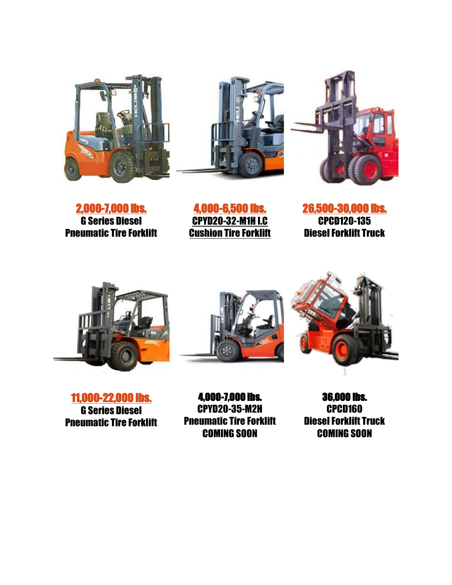





[2,000-7,000 lbs.](http://www.industrialforklifts.com/downloads/G%20Series%20Diesel.pdf) G Series Diesel Pneumatic Tire Forklift

[4,000-6,500 lbs.](http://www.industrialforklifts.com/downloads/H3C%20Series%204000%20to%206500%20Cushion.pdf) [CPYD20-32-M1H I.C](http://www.industrialforklifts.com/downloads/H3C%20Series%204000%20to%206500%20Cushion.pdf) **[Cushion Tire Forklift](http://www.industrialforklifts.com/downloads/H3C%20Series%204000%20to%206500%20Cushion.pdf)** 

[26,500-30,000 lbs.](http://www.industrialforklifts.com/downloads/CPCD120-135-Spec%20Sheet-IF.pdf) CPCD120-135 Diesel Forklift Truck







[11,000-22,000 lbs.](http://www.industrialforklifts.com/downloads/CPCD120-135-Spec%20Sheet-IF.pdf) G Series Diesel Pneumatic Tire Forklift

4,000-7,000 lbs. CPYD20-35-M2H Pneumatic Tire Forklift COMING SOON

36,000 lbs. CPCD160 Diesel Forklift Truck COMING SOON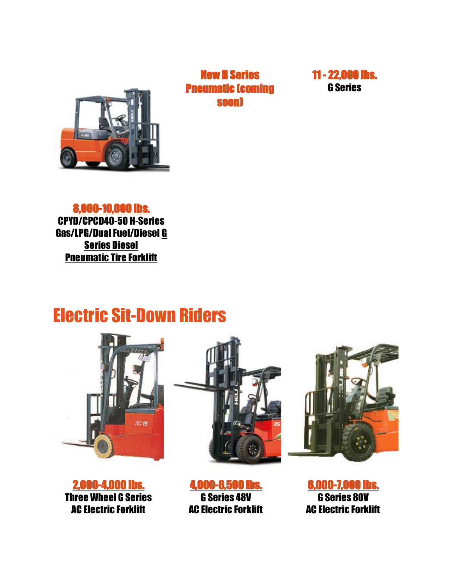

New H Series [Pn](http://www.industrialforklifts.com/downloads/CPYD40-50.pdf)eumatic (coming soon)



[8,000-10,000 lbs.](http://www.industrialforklifts.com/downloads/CPYD40-50.pdf) CPYD/CPCD40-50 H-Series Gas/LPG/Dual Fuel/Diesel G [Series Diesel](http://www.industrialforklifts.com/downloads/11,000-22,000LBSHSeries.pdf) [Pneumatic Tire Forklift](http://www.industrialforklifts.com/downloads/11,000-22,000LBSHSeries.pdf)

## Electric Sit-Down Riders



[2,000-4,000 lbs.](http://www.industrialforklifts.com/downloads/3-Wheel%20Electric.pdf) Three Wheel G Series AC Electric Forklift





[4,000-6,500 lbs.](http://www.industrialforklifts.com/downloads/Elect%20Cush%20Forklift%20Single%20Pages.pdf) G Series 48V AC Electric Forklift

[6,000-7,000 lbs.](http://www.industrialforklifts.com/downloads/CPD30-35%20G%2080V%20Elec.pdf) G Series 80V AC Electric Forklift